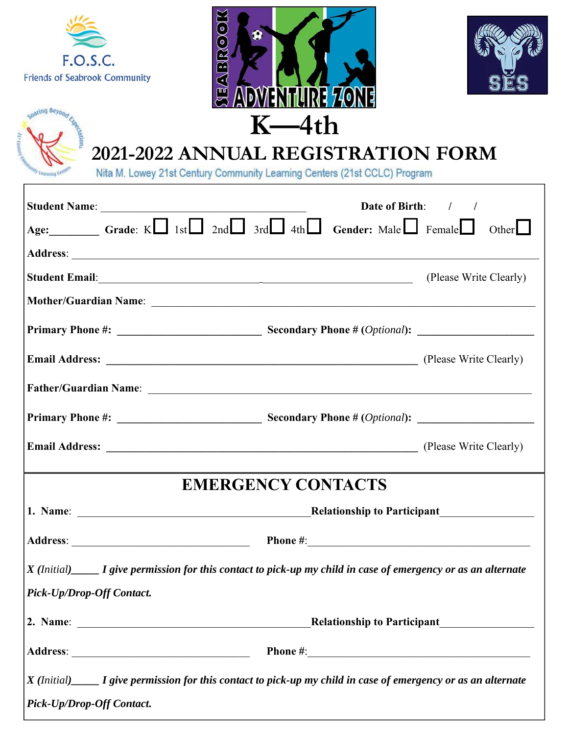







Г

# **2021-2022 ANNUAL REGISTRATION FORM**<br>Nita M. Lowey 21st Century Community Learning Centers (21st CCLC) Program

|                                                                                                               | Date of Birth: / /                                                                                                      |
|---------------------------------------------------------------------------------------------------------------|-------------------------------------------------------------------------------------------------------------------------|
| Age: Grade: $K \square$ 1st $\square$ 2nd $\square$ 3rd $\square$ 4th $\square$ Gender: Male $\square$ Female | Other $\Box$                                                                                                            |
|                                                                                                               |                                                                                                                         |
|                                                                                                               | (Please Write Clearly)                                                                                                  |
|                                                                                                               |                                                                                                                         |
|                                                                                                               |                                                                                                                         |
|                                                                                                               |                                                                                                                         |
|                                                                                                               |                                                                                                                         |
|                                                                                                               |                                                                                                                         |
|                                                                                                               |                                                                                                                         |
|                                                                                                               | <b>EMERGENCY CONTACTS</b>                                                                                               |
|                                                                                                               |                                                                                                                         |
|                                                                                                               |                                                                                                                         |
|                                                                                                               | $X$ (Initial) $\_\_\_\_$ I give permission for this contact to pick-up my child in case of emergency or as an alternate |
| Pick-Up/Drop-Off Contact.                                                                                     |                                                                                                                         |
|                                                                                                               | <b>Relationship to Participant</b>                                                                                      |
|                                                                                                               |                                                                                                                         |
| Pick-Up/Drop-Off Contact.                                                                                     | $X$ (Initial) $\_\_\_\_$ I give permission for this contact to pick-up my child in case of emergency or as an alternate |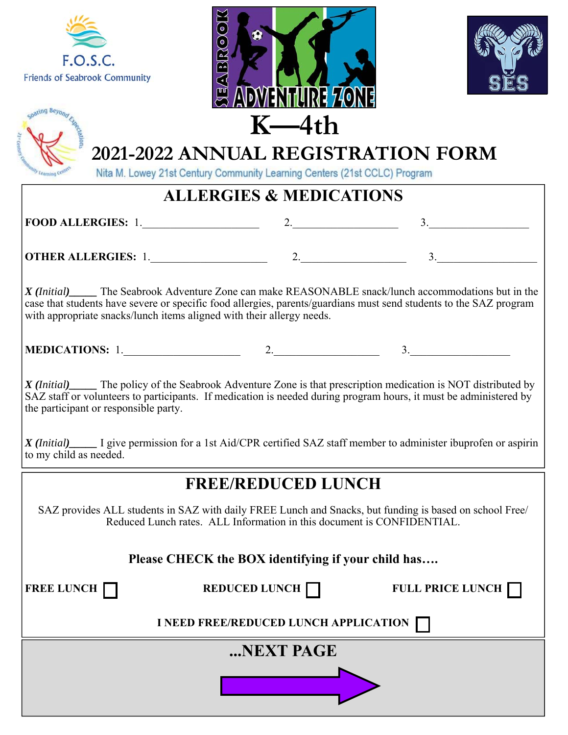







Nita M. Lowey 21st Century Community Learning Centers (21st CCLC) Program

#### **ALLERGIES & MEDICATIONS**

**FOOD ALLERGIES:** 1.\_\_\_\_\_\_\_\_\_\_\_\_\_\_\_\_\_\_\_\_\_ 2.\_\_\_\_\_\_\_\_\_\_\_\_\_\_\_\_\_\_\_ 3.\_\_\_\_\_\_\_\_\_\_\_\_\_\_\_\_\_\_

**OTHER ALLERGIES:** 1.\_\_\_\_\_\_\_\_\_\_\_\_\_\_\_\_\_\_\_\_\_ 2.\_\_\_\_\_\_\_\_\_\_\_\_\_\_\_\_\_\_\_ 3.\_\_\_\_\_\_\_\_\_\_\_\_\_\_\_\_\_\_

*X (Initial)\_\_\_\_\_* The Seabrook Adventure Zone can make REASONABLE snack/lunch accommodations but in the case that students have severe or specific food allergies, parents/guardians must send students to the SAZ program with appropriate snacks/lunch items aligned with their allergy needs.

| <b>MEDICATIONS:</b><br>. . | - |  |
|----------------------------|---|--|
|----------------------------|---|--|

*X (Initial)\_\_\_\_\_* The policy of the Seabrook Adventure Zone is that prescription medication is NOT distributed by SAZ staff or volunteers to participants. If medication is needed during program hours, it must be administered by the participant or responsible party.

*X (Initial)\_\_\_\_\_* I give permission for a 1st Aid/CPR certified SAZ staff member to administer ibuprofen or aspirin to my child as needed.

#### **FREE/REDUCED LUNCH**

SAZ provides ALL students in SAZ with daily FREE Lunch and Snacks, but funding is based on school Free/ Reduced Lunch rates. ALL Information in this document is CONFIDENTIAL.

#### **Please CHECK the BOX identifying if your child has….**

**FREE LUNCH REDUCED LUNCH REDUCED LUNCH FULL PRICE LUNCH** 

**I NEED FREE/REDUCED LUNCH APPLICATION**

**...NEXT PAGE**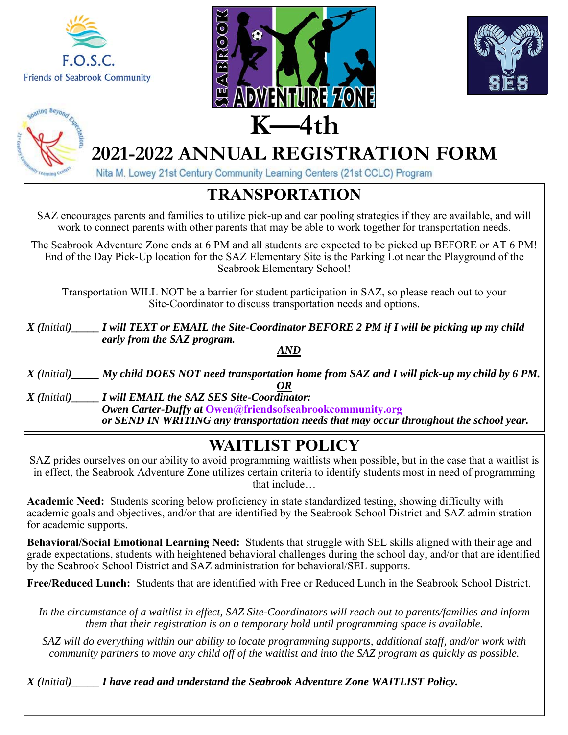







Nita M. Lowey 21st Century Community Learning Centers (21st CCLC) Program

#### **TRANSPORTATION**

SAZ encourages parents and families to utilize pick-up and car pooling strategies if they are available, and will work to connect parents with other parents that may be able to work together for transportation needs.

The Seabrook Adventure Zone ends at 6 PM and all students are expected to be picked up BEFORE or AT 6 PM! End of the Day Pick-Up location for the SAZ Elementary Site is the Parking Lot near the Playground of the Seabrook Elementary School!

Transportation WILL NOT be a barrier for student participation in SAZ, so please reach out to your Site-Coordinator to discuss transportation needs and options.

*X (Initial)\_\_\_\_\_ I will TEXT or EMAIL the Site-Coordinator BEFORE 2 PM if I will be picking up my child early from the SAZ program. AND* 

*X (Initial)\_\_\_\_\_ My child DOES NOT need transportation home from SAZ and I will pick-up my child by 6 PM. OR* 

*X (Initial)\_\_\_\_\_ I will EMAIL the SAZ SES Site-Coordinator: Owen Carter-Duffy at* **Owen@friendsofseabrookcommunity.org**   *or SEND IN WRITING any transportation needs that may occur throughout the school year.* 

#### **WAITLIST POLICY**

SAZ prides ourselves on our ability to avoid programming waitlists when possible, but in the case that a waitlist is in effect, the Seabrook Adventure Zone utilizes certain criteria to identify students most in need of programming that include…

**Academic Need:** Students scoring below proficiency in state standardized testing, showing difficulty with academic goals and objectives, and/or that are identified by the Seabrook School District and SAZ administration for academic supports.

**Behavioral/Social Emotional Learning Need:** Students that struggle with SEL skills aligned with their age and grade expectations, students with heightened behavioral challenges during the school day, and/or that are identified by the Seabrook School District and SAZ administration for behavioral/SEL supports.

**Free/Reduced Lunch:** Students that are identified with Free or Reduced Lunch in the Seabrook School District.

*In the circumstance of a waitlist in effect, SAZ Site-Coordinators will reach out to parents/families and inform them that their registration is on a temporary hold until programming space is available.* 

*SAZ will do everything within our ability to locate programming supports, additional staff, and/or work with community partners to move any child off of the waitlist and into the SAZ program as quickly as possible.*

*X (Initial)\_\_\_\_\_ I have read and understand the Seabrook Adventure Zone WAITLIST Policy.*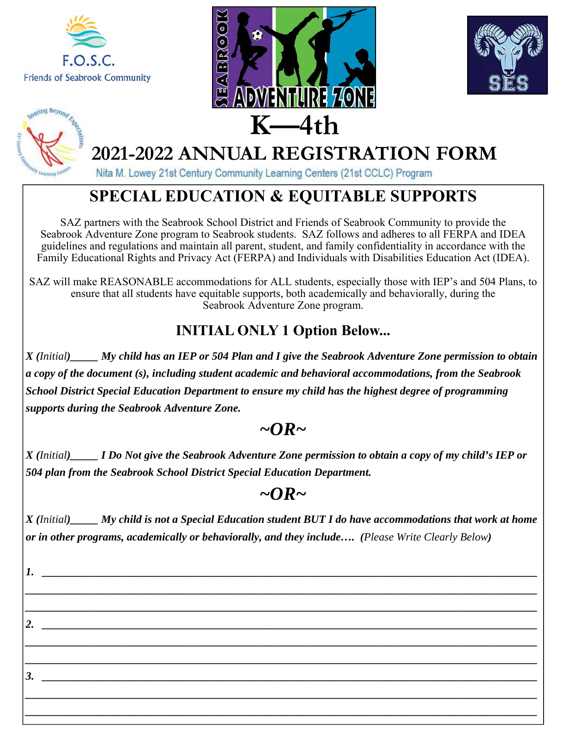







Nita M. Lowey 21st Century Community Learning Centers (21st CCLC) Program

#### **SPECIAL EDUCATION & EQUITABLE SUPPORTS**

SAZ partners with the Seabrook School District and Friends of Seabrook Community to provide the Seabrook Adventure Zone program to Seabrook students. SAZ follows and adheres to all FERPA and IDEA guidelines and regulations and maintain all parent, student, and family confidentiality in accordance with the Family Educational Rights and Privacy Act (FERPA) and Individuals with Disabilities Education Act (IDEA).

SAZ will make REASONABLE accommodations for ALL students, especially those with IEP's and 504 Plans, to ensure that all students have equitable supports, both academically and behaviorally, during the Seabrook Adventure Zone program.

#### **INITIAL ONLY 1 Option Below...**

*X (Initial)\_\_\_\_\_ My child has an IEP or 504 Plan and I give the Seabrook Adventure Zone permission to obtain a copy of the document (s), including student academic and behavioral accommodations, from the Seabrook School District Special Education Department to ensure my child has the highest degree of programming supports during the Seabrook Adventure Zone.* 

#### $\sim$ OR $\sim$

*X (Initial)\_\_\_\_\_ I Do Not give the Seabrook Adventure Zone permission to obtain a copy of my child's IEP or 504 plan from the Seabrook School District Special Education Department.*

#### *~OR~*

*X (Initial)\_\_\_\_\_ My child is not a Special Education student BUT I do have accommodations that work at home or in other programs, academically or behaviorally, and they include…. (Please Write Clearly Below)* 

*\_\_\_\_\_\_\_\_\_\_\_\_\_\_\_\_\_\_\_\_\_\_\_\_\_\_\_\_\_\_\_\_\_\_\_\_\_\_\_\_\_\_\_\_\_\_\_\_\_\_\_\_\_\_\_\_\_\_\_\_\_\_\_\_\_\_\_\_\_\_\_\_\_\_\_\_\_\_\_\_\_\_\_\_\_\_\_\_\_\_\_\_ \_\_\_\_\_\_\_\_\_\_\_\_\_\_\_\_\_\_\_\_\_\_\_\_\_\_\_\_\_\_\_\_\_\_\_\_\_\_\_\_\_\_\_\_\_\_\_\_\_\_\_\_\_\_\_\_\_\_\_\_\_\_\_\_\_\_\_\_\_\_\_\_\_\_\_\_\_\_\_\_\_\_\_\_\_\_\_\_\_\_\_\_* 

*\_\_\_\_\_\_\_\_\_\_\_\_\_\_\_\_\_\_\_\_\_\_\_\_\_\_\_\_\_\_\_\_\_\_\_\_\_\_\_\_\_\_\_\_\_\_\_\_\_\_\_\_\_\_\_\_\_\_\_\_\_\_\_\_\_\_\_\_\_\_\_\_\_\_\_\_\_\_\_\_\_\_\_\_\_\_\_\_\_\_\_\_ \_\_\_\_\_\_\_\_\_\_\_\_\_\_\_\_\_\_\_\_\_\_\_\_\_\_\_\_\_\_\_\_\_\_\_\_\_\_\_\_\_\_\_\_\_\_\_\_\_\_\_\_\_\_\_\_\_\_\_\_\_\_\_\_\_\_\_\_\_\_\_\_\_\_\_\_\_\_\_\_\_\_\_\_\_\_\_\_\_\_\_\_* 

*\_\_\_\_\_\_\_\_\_\_\_\_\_\_\_\_\_\_\_\_\_\_\_\_\_\_\_\_\_\_\_\_\_\_\_\_\_\_\_\_\_\_\_\_\_\_\_\_\_\_\_\_\_\_\_\_\_\_\_\_\_\_\_\_\_\_\_\_\_\_\_\_\_\_\_\_\_\_\_\_\_\_\_\_\_\_\_\_\_\_\_\_ \_\_\_\_\_\_\_\_\_\_\_\_\_\_\_\_\_\_\_\_\_\_\_\_\_\_\_\_\_\_\_\_\_\_\_\_\_\_\_\_\_\_\_\_\_\_\_\_\_\_\_\_\_\_\_\_\_\_\_\_\_\_\_\_\_\_\_\_\_\_\_\_\_\_\_\_\_\_\_\_\_\_\_\_\_\_\_\_\_\_\_\_* 

*1. \_\_\_\_\_\_\_\_\_\_\_\_\_\_\_\_\_\_\_\_\_\_\_\_\_\_\_\_\_\_\_\_\_\_\_\_\_\_\_\_\_\_\_\_\_\_\_\_\_\_\_\_\_\_\_\_\_\_\_\_\_\_\_\_\_\_\_\_\_\_\_\_\_\_\_\_\_\_\_\_\_\_\_\_\_\_\_\_\_* 

*3.*  $\blacksquare$ 

*2.*  $\blacksquare$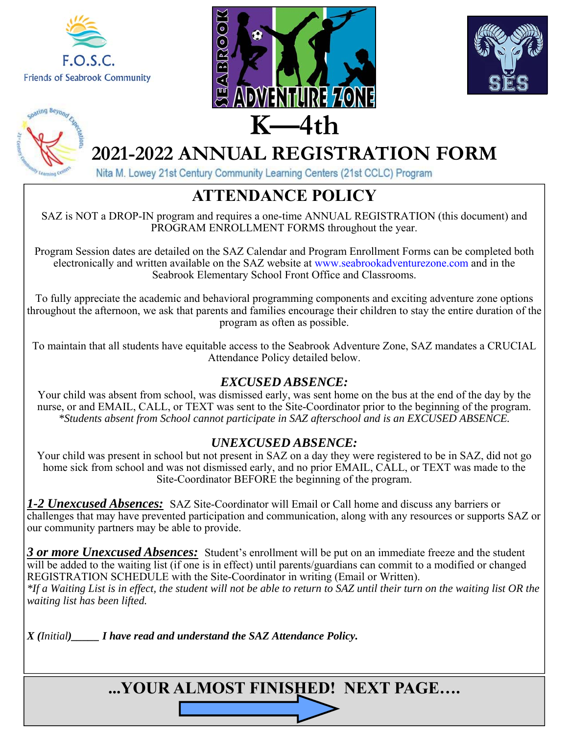







Nita M. Lowey 21st Century Community Learning Centers (21st CCLC) Program

#### **ATTENDANCE POLICY**

SAZ is NOT a DROP-IN program and requires a one-time ANNUAL REGISTRATION (this document) and PROGRAM ENROLLMENT FORMS throughout the year.

Program Session dates are detailed on the SAZ Calendar and Program Enrollment Forms can be completed both electronically and written available on the SAZ website at www.seabrookadventurezone.com and in the Seabrook Elementary School Front Office and Classrooms.

To fully appreciate the academic and behavioral programming components and exciting adventure zone options throughout the afternoon, we ask that parents and families encourage their children to stay the entire duration of the program as often as possible.

To maintain that all students have equitable access to the Seabrook Adventure Zone, SAZ mandates a CRUCIAL Attendance Policy detailed below.

#### *EXCUSED ABSENCE:*

Your child was absent from school, was dismissed early, was sent home on the bus at the end of the day by the nurse, or and EMAIL, CALL, or TEXT was sent to the Site-Coordinator prior to the beginning of the program. *\*Students absent from School cannot participate in SAZ afterschool and is an EXCUSED ABSENCE.* 

#### *UNEXCUSED ABSENCE:*

Your child was present in school but not present in SAZ on a day they were registered to be in SAZ, did not go home sick from school and was not dismissed early, and no prior EMAIL, CALL, or TEXT was made to the Site-Coordinator BEFORE the beginning of the program.

*1-2 Unexcused Absences:* SAZ Site-Coordinator will Email or Call home and discuss any barriers or challenges that may have prevented participation and communication, along with any resources or supports SAZ or our community partners may be able to provide.

*3 or more Unexcused Absences:* Student's enrollment will be put on an immediate freeze and the student will be added to the waiting list (if one is in effect) until parents/guardians can commit to a modified or changed REGISTRATION SCHEDULE with the Site-Coordinator in writing (Email or Written). *\*If a Waiting List is in effect, the student will not be able to return to SAZ until their turn on the waiting list OR the waiting list has been lifted.*

*X (Initial)\_\_\_\_\_ I have read and understand the SAZ Attendance Policy.*

**...YOUR ALMOST FINISHED! NEXT PAGE….**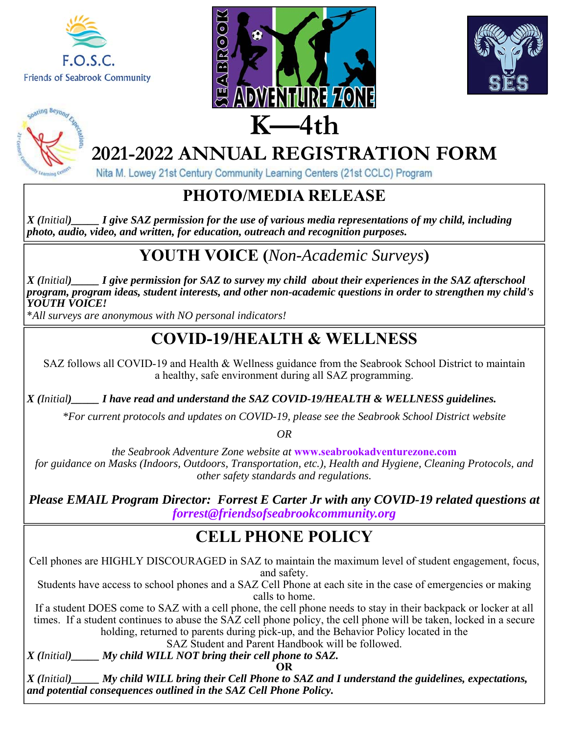







Nita M. Lowey 21st Century Community Learning Centers (21st CCLC) Program

#### **PHOTO/MEDIA RELEASE**

*X (Initial)\_\_\_\_\_ I give SAZ permission for the use of various media representations of my child, including photo, audio, video, and written, for education, outreach and recognition purposes.*

### **YOUTH VOICE (***Non-Academic Surveys***)**

*X (Initial)\_\_\_\_\_ I give permission for SAZ to survey my child about their experiences in the SAZ afterschool program, program ideas, student interests, and other non-academic questions in order to strengthen my child's YOUTH VOICE!* 

\**All surveys are anonymous with NO personal indicators!*

#### **COVID-19/HEALTH & WELLNESS**

SAZ follows all COVID-19 and Health & Wellness guidance from the Seabrook School District to maintain a healthy, safe environment during all SAZ programming.

*X (Initial)\_\_\_\_\_ I have read and understand the SAZ COVID-19/HEALTH & WELLNESS guidelines.* 

*\*For current protocols and updates on COVID-19, please see the Seabrook School District website* 

*OR* 

*the Seabrook Adventure Zone website at* **www.seabrookadventurezone.com**  *for guidance on Masks (Indoors, Outdoors, Transportation, etc.), Health and Hygiene, Cleaning Protocols, and other safety standards and regulations.*

*Please EMAIL Program Director: Forrest E Carter Jr with any COVID-19 related questions at forrest@friendsofseabrookcommunity.org* 

#### **CELL PHONE POLICY**

Cell phones are HIGHLY DISCOURAGED in SAZ to maintain the maximum level of student engagement, focus, and safety.

Students have access to school phones and a SAZ Cell Phone at each site in the case of emergencies or making calls to home.

If a student DOES come to SAZ with a cell phone, the cell phone needs to stay in their backpack or locker at all times. If a student continues to abuse the SAZ cell phone policy, the cell phone will be taken, locked in a secure holding, returned to parents during pick-up, and the Behavior Policy located in the

SAZ Student and Parent Handbook will be followed.

*X (Initial)\_\_\_\_\_ My child WILL NOT bring their cell phone to SAZ.* 

**OR** 

*X (Initial)\_\_\_\_\_ My child WILL bring their Cell Phone to SAZ and I understand the guidelines, expectations, and potential consequences outlined in the SAZ Cell Phone Policy.*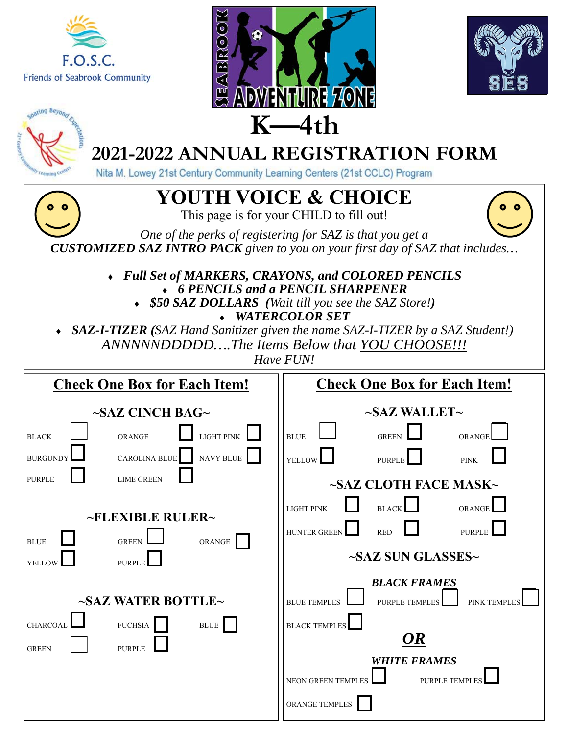





|                                 |                                                                                                                                   | <u>ADJULINI GIMI LIVIU</u>          |                                       |  |  |  |
|---------------------------------|-----------------------------------------------------------------------------------------------------------------------------------|-------------------------------------|---------------------------------------|--|--|--|
|                                 | $K$ —4th                                                                                                                          |                                     |                                       |  |  |  |
|                                 | 2021-2022 ANNUAL REGISTRATION FORM                                                                                                |                                     |                                       |  |  |  |
| Cearming Co                     | Nita M. Lowey 21st Century Community Learning Centers (21st CCLC) Program                                                         |                                     |                                       |  |  |  |
| <b>YOUTH VOICE &amp; CHOICE</b> |                                                                                                                                   |                                     |                                       |  |  |  |
|                                 | This page is for your CHILD to fill out!                                                                                          |                                     |                                       |  |  |  |
|                                 | One of the perks of registering for SAZ is that you get a                                                                         |                                     |                                       |  |  |  |
|                                 | <b>CUSTOMIZED SAZ INTRO PACK</b> given to you on your first day of SAZ that includes                                              |                                     |                                       |  |  |  |
|                                 | Full Set of MARKERS, CRAYONS, and COLORED PENCILS<br>• 6 PENCILS and a PENCIL SHARPENER                                           |                                     |                                       |  |  |  |
|                                 | • \$50 SAZ DOLLARS (Wait till you see the SAZ Store!)                                                                             |                                     |                                       |  |  |  |
|                                 |                                                                                                                                   | <b>WATERCOLOR SET</b>               |                                       |  |  |  |
|                                 | • SAZ-I-TIZER (SAZ Hand Sanitizer given the name SAZ-I-TIZER by a SAZ Student!)<br>ANNNNNDDDDDThe Items Below that YOU CHOOSE !!! |                                     |                                       |  |  |  |
|                                 | Have FUN!                                                                                                                         |                                     |                                       |  |  |  |
|                                 | <b>Check One Box for Each Item!</b>                                                                                               | <b>Check One Box for Each Item!</b> |                                       |  |  |  |
|                                 | $\sim$ SAZ CINCH BAG $\sim$                                                                                                       |                                     | $\sim$ SAZ WALLET $\sim$              |  |  |  |
| <b>BLACK</b>                    | <b>LIGHT PINK</b><br><b>ORANGE</b>                                                                                                | <b>BLUE</b>                         | <b>GREEN</b><br>ORANGE                |  |  |  |
| <b>BURGUNDY</b>                 | NAVY BLUE<br>CAROLINA BLUE                                                                                                        | <b>YELLOW</b>                       | <b>PURPLE</b><br><b>PINK</b>          |  |  |  |
| <b>PURPLE</b>                   | <b>LIME GREEN</b>                                                                                                                 |                                     | ~SAZ CLOTH FACE MASK~                 |  |  |  |
|                                 |                                                                                                                                   | <b>LIGHT PINK</b>                   | <b>BLACK</b><br>ORANGI                |  |  |  |
|                                 | ~FLEXIBLE RULER~                                                                                                                  |                                     |                                       |  |  |  |
| <b>BLUE</b>                     | <b>GREEN</b><br>ORANGE                                                                                                            | HUNTER GREEN                        | <b>RED</b><br><b>PURPLE</b>           |  |  |  |
| YELLOW                          | <b>PURPLE</b>                                                                                                                     | ~SAZ SUN GLASSES~                   |                                       |  |  |  |
|                                 |                                                                                                                                   |                                     | <b>BLACK FRAMES</b>                   |  |  |  |
|                                 | $\sim$ SAZ WATER BOTTLE $\sim$                                                                                                    | <b>BLUE TEMPLES</b>                 | PURPLE TEMPLE:<br><b>PINK TEMPLES</b> |  |  |  |
| CHARCOAI                        | ${\rm FUCHSIA}$<br>$\operatorname{BLUE}$                                                                                          | <b>BLACK TEMPLES</b>                |                                       |  |  |  |
| <b>GREEN</b>                    | <b>PURPLE</b>                                                                                                                     |                                     | OR                                    |  |  |  |
|                                 |                                                                                                                                   |                                     | <b>WHITE FRAMES</b>                   |  |  |  |
|                                 |                                                                                                                                   | NEON GREEN TEMPLES                  | PURPLE TEMPLE                         |  |  |  |
|                                 |                                                                                                                                   | ORANGE TEMPLES                      |                                       |  |  |  |